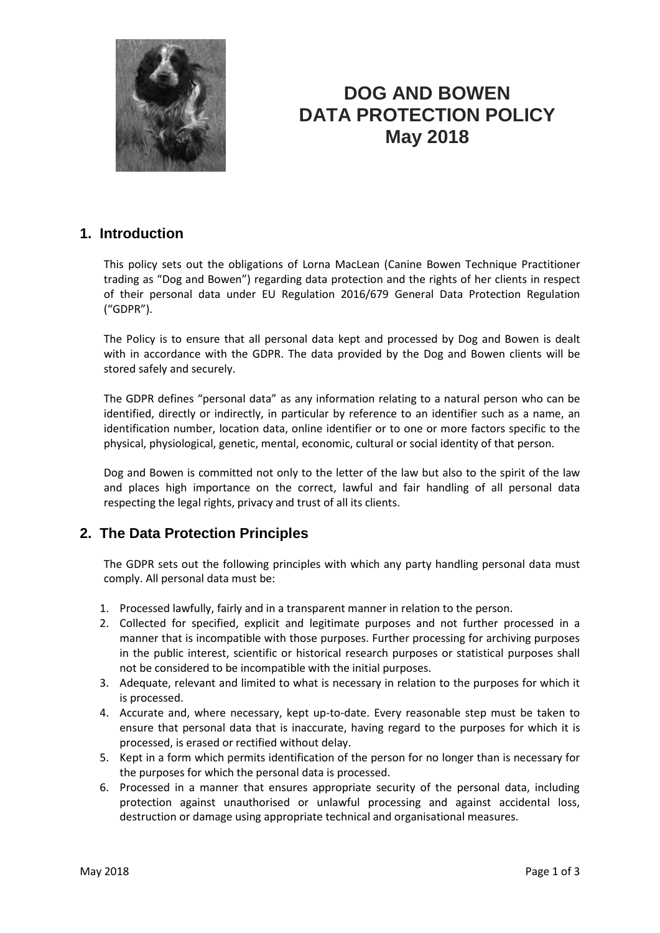

# **DOG AND BOWEN DATA PROTECTION POLICY May 2018**

### **1. Introduction**

This policy sets out the obligations of Lorna MacLean (Canine Bowen Technique Practitioner trading as "Dog and Bowen") regarding data protection and the rights of her clients in respect of their personal data under EU Regulation 2016/679 General Data Protection Regulation ("GDPR").

The Policy is to ensure that all personal data kept and processed by Dog and Bowen is dealt with in accordance with the GDPR. The data provided by the Dog and Bowen clients will be stored safely and securely.

The GDPR defines "personal data" as any information relating to a natural person who can be identified, directly or indirectly, in particular by reference to an identifier such as a name, an identification number, location data, online identifier or to one or more factors specific to the physical, physiological, genetic, mental, economic, cultural or social identity of that person.

Dog and Bowen is committed not only to the letter of the law but also to the spirit of the law and places high importance on the correct, lawful and fair handling of all personal data respecting the legal rights, privacy and trust of all its clients.

## **2. The Data Protection Principles**

The GDPR sets out the following principles with which any party handling personal data must comply. All personal data must be:

- 1. Processed lawfully, fairly and in a transparent manner in relation to the person.
- 2. Collected for specified, explicit and legitimate purposes and not further processed in a manner that is incompatible with those purposes. Further processing for archiving purposes in the public interest, scientific or historical research purposes or statistical purposes shall not be considered to be incompatible with the initial purposes.
- 3. Adequate, relevant and limited to what is necessary in relation to the purposes for which it is processed.
- 4. Accurate and, where necessary, kept up-to-date. Every reasonable step must be taken to ensure that personal data that is inaccurate, having regard to the purposes for which it is processed, is erased or rectified without delay.
- 5. Kept in a form which permits identification of the person for no longer than is necessary for the purposes for which the personal data is processed.
- 6. Processed in a manner that ensures appropriate security of the personal data, including protection against unauthorised or unlawful processing and against accidental loss, destruction or damage using appropriate technical and organisational measures.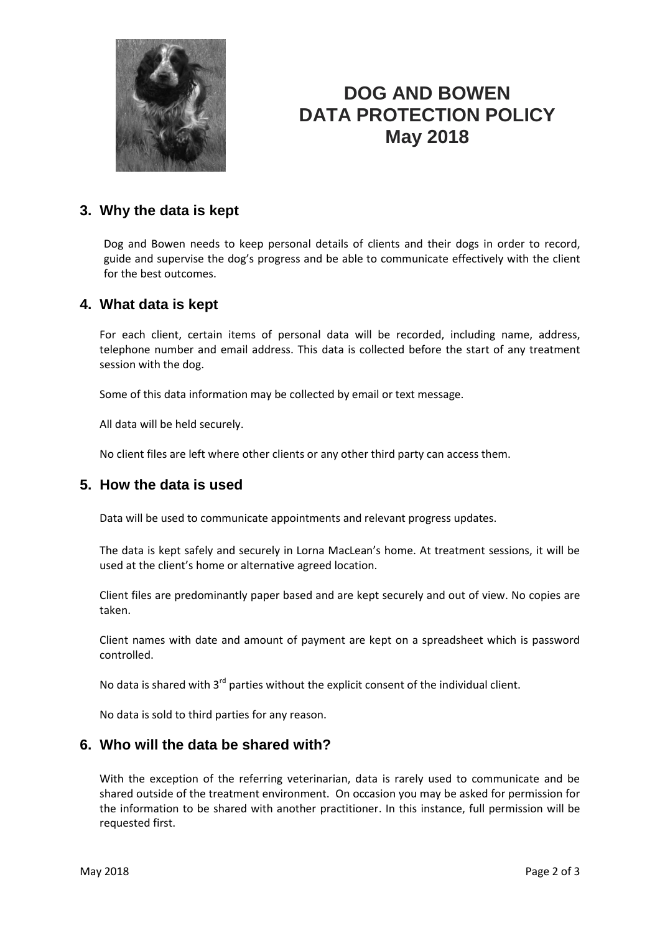

# **DOG AND BOWEN DATA PROTECTION POLICY May 2018**

### **3. Why the data is kept**

Dog and Bowen needs to keep personal details of clients and their dogs in order to record, guide and supervise the dog's progress and be able to communicate effectively with the client for the best outcomes.

#### **4. What data is kept**

For each client, certain items of personal data will be recorded, including name, address, telephone number and email address. This data is collected before the start of any treatment session with the dog.

Some of this data information may be collected by email or text message.

All data will be held securely.

No client files are left where other clients or any other third party can access them.

### **5. How the data is used**

Data will be used to communicate appointments and relevant progress updates.

The data is kept safely and securely in Lorna MacLean's home. At treatment sessions, it will be used at the client's home or alternative agreed location.

Client files are predominantly paper based and are kept securely and out of view. No copies are taken.

Client names with date and amount of payment are kept on a spreadsheet which is password controlled.

No data is shared with  $3^{rd}$  parties without the explicit consent of the individual client.

No data is sold to third parties for any reason.

#### **6. Who will the data be shared with?**

With the exception of the referring veterinarian, data is rarely used to communicate and be shared outside of the treatment environment. On occasion you may be asked for permission for the information to be shared with another practitioner. In this instance, full permission will be requested first.